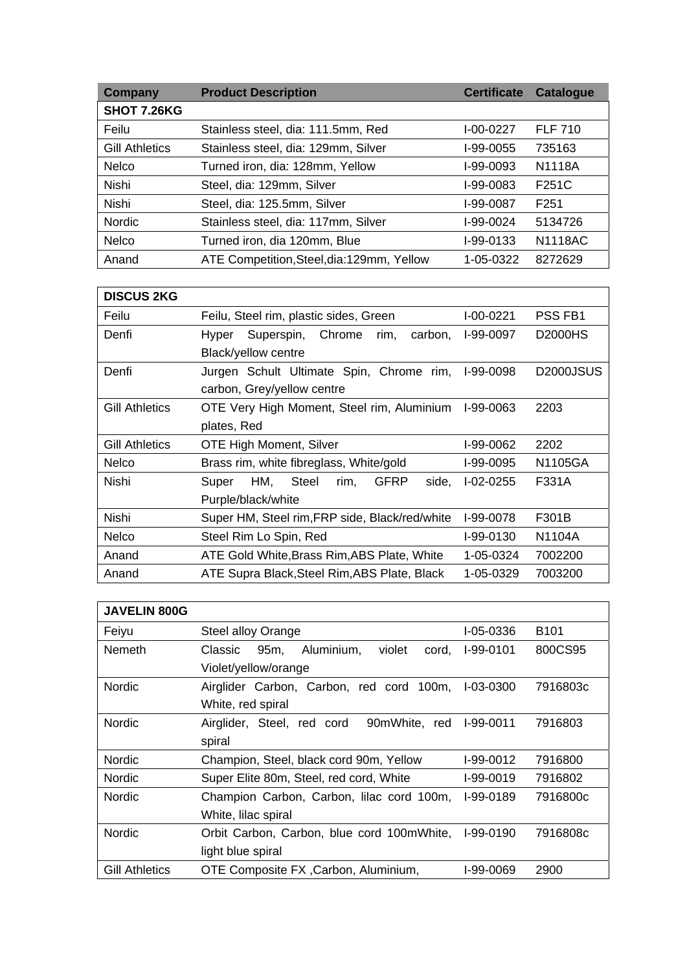| Company               | <b>Product Description</b><br><b>Catalogue</b><br><b>Certificate</b> |                             |                |  |
|-----------------------|----------------------------------------------------------------------|-----------------------------|----------------|--|
| <b>SHOT 7.26KG</b>    |                                                                      |                             |                |  |
| Feilu                 | Stainless steel, dia: 111.5mm, Red                                   | <b>FLF 710</b><br>I-00-0227 |                |  |
| <b>Gill Athletics</b> | Stainless steel, dia: 129mm, Silver                                  | I-99-0055<br>735163         |                |  |
| <b>Nelco</b>          | Turned iron, dia: 128mm, Yellow                                      | I-99-0093                   | N1118A         |  |
| <b>Nishi</b>          | Steel, dia: 129mm, Silver                                            | I-99-0083                   | F251C          |  |
| <b>Nishi</b>          | Steel, dia: 125.5mm, Silver<br>I-99-0087<br>F <sub>251</sub>         |                             |                |  |
| <b>Nordic</b>         | Stainless steel, dia: 117mm, Silver                                  | I-99-0024                   | 5134726        |  |
| <b>Nelco</b>          | Turned iron, dia 120mm, Blue                                         | I-99-0133                   | <b>N1118AC</b> |  |
| Anand                 | ATE Competition, Steel, dia: 129mm, Yellow                           | 1-05-0322                   | 8272629        |  |

| <b>DISCUS 2KG</b>     |                                                    |             |                        |  |
|-----------------------|----------------------------------------------------|-------------|------------------------|--|
| Feilu                 | Feilu, Steel rim, plastic sides, Green             | I-00-0221   | PSS FB1                |  |
| Denfi                 | Superspin, Chrome<br>rim,<br>carbon,<br>Hyper      | I-99-0097   | D2000HS                |  |
|                       | Black/yellow centre                                |             |                        |  |
| Denfi                 | Jurgen Schult Ultimate Spin, Chrome rim,           | I-99-0098   | D <sub>2000</sub> JSUS |  |
|                       | carbon, Grey/yellow centre                         |             |                        |  |
| <b>Gill Athletics</b> | OTE Very High Moment, Steel rim, Aluminium         | I-99-0063   | 2203                   |  |
|                       | plates, Red                                        |             |                        |  |
| <b>Gill Athletics</b> | <b>OTE High Moment, Silver</b>                     | I-99-0062   | 2202                   |  |
| <b>Nelco</b>          | Brass rim, white fibreglass, White/gold            | I-99-0095   | N1105GA                |  |
| Nishi                 | HM, Steel<br><b>GFRP</b><br>rim,<br>side,<br>Super | $I-02-0255$ | F331A                  |  |
|                       | Purple/black/white                                 |             |                        |  |
| <b>Nishi</b>          | Super HM, Steel rim, FRP side, Black/red/white     | I-99-0078   | F301B                  |  |
| <b>Nelco</b>          | Steel Rim Lo Spin, Red                             | I-99-0130   | N1104A                 |  |
| Anand                 | ATE Gold White, Brass Rim, ABS Plate, White        | 1-05-0324   | 7002200                |  |
| Anand                 | ATE Supra Black, Steel Rim, ABS Plate, Black       | 1-05-0329   | 7003200                |  |

| <b>JAVELIN 800G</b>   |                                                                 |             |                  |  |
|-----------------------|-----------------------------------------------------------------|-------------|------------------|--|
| Feiyu                 | <b>Steel alloy Orange</b>                                       | I-05-0336   | B <sub>101</sub> |  |
| <b>Nemeth</b>         | 95m,<br>Aluminium,<br>violet<br>Classic<br>cord.                | I-99-0101   | 800CS95          |  |
|                       | Violet/yellow/orange                                            |             |                  |  |
| <b>Nordic</b>         | Airglider Carbon, Carbon, red cord 100m,                        | I-03-0300   | 7916803c         |  |
|                       | White, red spiral                                               |             |                  |  |
| <b>Nordic</b>         | Airglider, Steel, red cord<br>90mWhite red                      | I-99-0011   | 7916803          |  |
|                       | spiral                                                          |             |                  |  |
| <b>Nordic</b>         | Champion, Steel, black cord 90m, Yellow<br>I-99-0012<br>7916800 |             |                  |  |
| <b>Nordic</b>         | Super Elite 80m, Steel, red cord, White<br>I-99-0019<br>7916802 |             |                  |  |
| <b>Nordic</b>         | Champion Carbon, Carbon, lilac cord 100m,<br>I-99-0189          |             | 7916800c         |  |
|                       | White, lilac spiral                                             |             |                  |  |
| <b>Nordic</b>         | Orbit Carbon, Carbon, blue cord 100mWhite,                      | $I-99-0190$ | 7916808c         |  |
|                       | light blue spiral                                               |             |                  |  |
| <b>Gill Athletics</b> | OTE Composite FX, Carbon, Aluminium,                            | I-99-0069   | 2900             |  |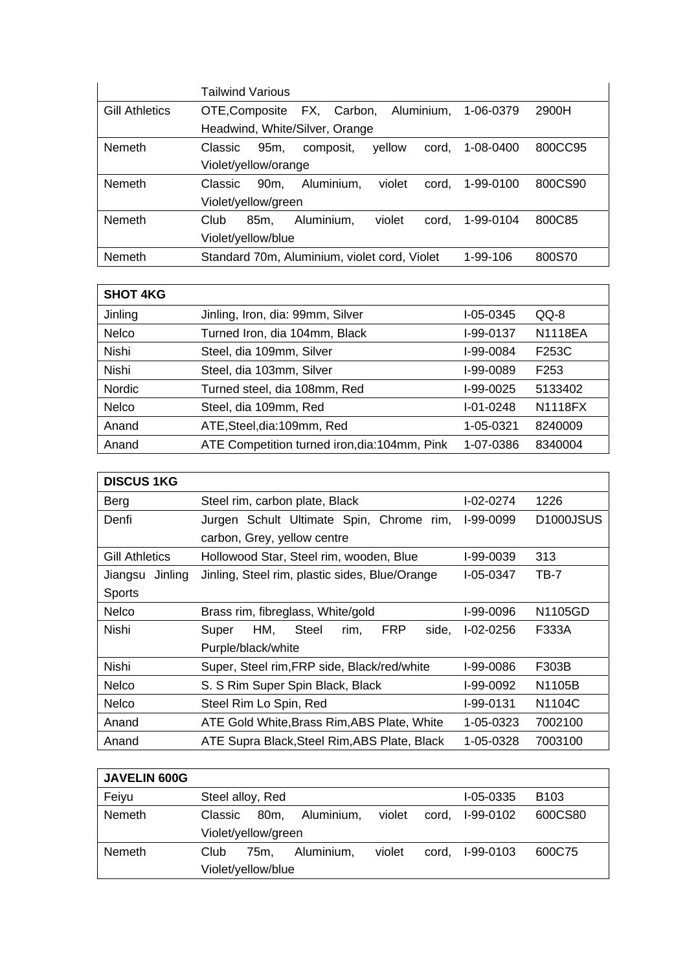|                       | Tailwind Various                                                                          |  |  |
|-----------------------|-------------------------------------------------------------------------------------------|--|--|
| <b>Gill Athletics</b> | FX,<br>Aluminium,<br>2900H<br>Carbon,<br>1-06-0379<br>OTE, Composite                      |  |  |
|                       | Headwind, White/Silver, Orange                                                            |  |  |
| Nemeth                | 800CC95<br>1-08-0400<br>95 <sub>m</sub><br>cord.<br><b>Classic</b><br>composit,<br>yellow |  |  |
|                       | Violet/yellow/orange                                                                      |  |  |
| <b>Nemeth</b>         | 800CS90<br>violet<br>Aluminium,<br>90 <sub>m</sub><br>cord.<br>1-99-0100<br>Classic       |  |  |
|                       | Violet/yellow/green                                                                       |  |  |
| <b>Nemeth</b>         | Aluminium,<br>violet<br>800C85<br>Club<br>85m.<br>1-99-0104<br>cord.                      |  |  |
|                       | Violet/yellow/blue                                                                        |  |  |
| Nemeth                | Standard 70m, Aluminium, violet cord, Violet<br>800S70<br>1-99-106                        |  |  |

| <b>SHOT 4KG</b> |                                                             |                             |                  |
|-----------------|-------------------------------------------------------------|-----------------------------|------------------|
| Jinling         | QQ-8<br>Jinling, Iron, dia: 99mm, Silver<br>$I - 05 - 0345$ |                             |                  |
| <b>Nelco</b>    | Turned Iron, dia 104mm, Black                               | <b>N1118EA</b><br>I-99-0137 |                  |
| <b>Nishi</b>    | Steel, dia 109mm, Silver                                    | I-99-0084                   | F253C            |
| <b>Nishi</b>    | Steel, dia 103mm, Silver                                    | I-99-0089                   | F <sub>253</sub> |
| <b>Nordic</b>   | Turned steel, dia 108mm, Red<br>I-99-0025<br>5133402        |                             |                  |
| <b>Nelco</b>    | Steel, dia 109mm, Red                                       | $I - 01 - 0248$             | N1118FX          |
| Anand           | ATE, Steel, dia: 109mm, Red                                 | 1-05-0321                   | 8240009          |
| Anand           | ATE Competition turned iron, dia: 104mm, Pink               | 1-07-0386                   | 8340004          |

| <b>DISCUS 1KG</b>     |                                                                      |                  |                        |  |
|-----------------------|----------------------------------------------------------------------|------------------|------------------------|--|
| Berg                  | Steel rim, carbon plate, Black                                       | $I - 02 - 0274$  | 1226                   |  |
| Denfi                 | Jurgen Schult Ultimate Spin, Chrome rim,                             | <b>I-99-0099</b> | D <sub>1000</sub> JSUS |  |
|                       | carbon, Grey, yellow centre                                          |                  |                        |  |
| <b>Gill Athletics</b> | Hollowood Star, Steel rim, wooden, Blue                              | I-99-0039        | 313                    |  |
| Jinling<br>Jiangsu    | Jinling, Steel rim, plastic sides, Blue/Orange                       | I-05-0347        | TB-7                   |  |
| Sports                |                                                                      |                  |                        |  |
| <b>Nelco</b>          | Brass rim, fibreglass, White/gold                                    | I-99-0096        | N1105GD                |  |
| Nishi                 | HM,<br><b>Steel</b><br><b>FRP</b><br>Super<br>rim.<br>side.          | $I-02-0256$      | F333A                  |  |
|                       | Purple/black/white                                                   |                  |                        |  |
| Nishi                 | Super, Steel rim, FRP side, Black/red/white<br>I-99-0086<br>F303B    |                  |                        |  |
| <b>Nelco</b>          | S. S Rim Super Spin Black, Black<br>N1105B<br>I-99-0092              |                  |                        |  |
| <b>Nelco</b>          | N <sub>1104</sub> C<br>Steel Rim Lo Spin, Red<br>I-99-0131           |                  |                        |  |
| Anand                 | ATE Gold White, Brass Rim, ABS Plate, White<br>1-05-0323<br>7002100  |                  |                        |  |
| Anand                 | ATE Supra Black, Steel Rim, ABS Plate, Black<br>7003100<br>1-05-0328 |                  |                        |  |

| <b>JAVELIN 600G</b> |                     |                 |            |        |       |                 |                  |
|---------------------|---------------------|-----------------|------------|--------|-------|-----------------|------------------|
| Feiyu               | Steel alloy, Red    |                 |            |        |       | $I - 05 - 0335$ | B <sub>103</sub> |
| <b>Nemeth</b>       | Classic             | 80 <sub>m</sub> | Aluminium, | violet | cord, | I-99-0102       | 600CS80          |
|                     | Violet/yellow/green |                 |            |        |       |                 |                  |
| <b>Nemeth</b>       | Club                | 75m.            | Aluminium, | violet | cord. | I-99-0103       | 600C75           |
|                     | Violet/yellow/blue  |                 |            |        |       |                 |                  |